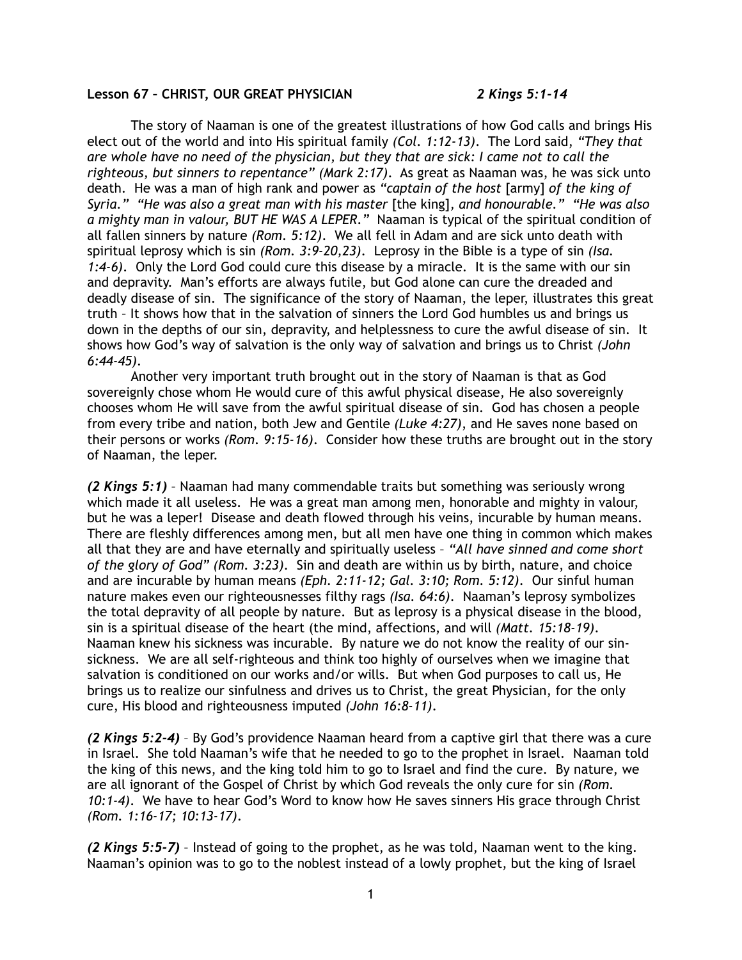## **Lesson 67 – CHRIST, OUR GREAT PHYSICIAN** *2 Kings 5:1-14*

The story of Naaman is one of the greatest illustrations of how God calls and brings His elect out of the world and into His spiritual family *(Col. 1:12-13)*. The Lord said, *"They that are whole have no need of the physician, but they that are sick: I came not to call the righteous, but sinners to repentance" (Mark 2:17)*. As great as Naaman was, he was sick unto death. He was a man of high rank and power as *"captain of the host* [army] *of the king of Syria." "He was also a great man with his master* [the king]*, and honourable." "He was also a mighty man in valour, BUT HE WAS A LEPER."* Naaman is typical of the spiritual condition of all fallen sinners by nature *(Rom. 5:12)*. We all fell in Adam and are sick unto death with spiritual leprosy which is sin *(Rom. 3:9-20,23)*. Leprosy in the Bible is a type of sin *(Isa. 1:4-6)*. Only the Lord God could cure this disease by a miracle. It is the same with our sin and depravity. Man's efforts are always futile, but God alone can cure the dreaded and deadly disease of sin. The significance of the story of Naaman, the leper, illustrates this great truth – It shows how that in the salvation of sinners the Lord God humbles us and brings us down in the depths of our sin, depravity, and helplessness to cure the awful disease of sin. It shows how God's way of salvation is the only way of salvation and brings us to Christ *(John 6:44-45)*.

Another very important truth brought out in the story of Naaman is that as God sovereignly chose whom He would cure of this awful physical disease, He also sovereignly chooses whom He will save from the awful spiritual disease of sin. God has chosen a people from every tribe and nation, both Jew and Gentile *(Luke 4:27)*, and He saves none based on their persons or works *(Rom. 9:15-16)*. Consider how these truths are brought out in the story of Naaman, the leper.

*(2 Kings 5:1)* – Naaman had many commendable traits but something was seriously wrong which made it all useless. He was a great man among men, honorable and mighty in valour, but he was a leper! Disease and death flowed through his veins, incurable by human means. There are fleshly differences among men, but all men have one thing in common which makes all that they are and have eternally and spiritually useless – *"All have sinned and come short of the glory of God" (Rom. 3:23)*. Sin and death are within us by birth, nature, and choice and are incurable by human means *(Eph. 2:11-12; Gal. 3:10; Rom. 5:12)*. Our sinful human nature makes even our righteousnesses filthy rags *(Isa. 64:6)*. Naaman's leprosy symbolizes the total depravity of all people by nature. But as leprosy is a physical disease in the blood, sin is a spiritual disease of the heart (the mind, affections, and will *(Matt. 15:18-19)*. Naaman knew his sickness was incurable. By nature we do not know the reality of our sinsickness. We are all self-righteous and think too highly of ourselves when we imagine that salvation is conditioned on our works and/or wills. But when God purposes to call us, He brings us to realize our sinfulness and drives us to Christ, the great Physician, for the only cure, His blood and righteousness imputed *(John 16:8-11)*.

*(2 Kings 5:2-4)* – By God's providence Naaman heard from a captive girl that there was a cure in Israel. She told Naaman's wife that he needed to go to the prophet in Israel. Naaman told the king of this news, and the king told him to go to Israel and find the cure. By nature, we are all ignorant of the Gospel of Christ by which God reveals the only cure for sin *(Rom. 10:1-4)*. We have to hear God's Word to know how He saves sinners His grace through Christ *(Rom. 1:16-17; 10:13-17)*.

*(2 Kings 5:5-7)* – Instead of going to the prophet, as he was told, Naaman went to the king. Naaman's opinion was to go to the noblest instead of a lowly prophet, but the king of Israel